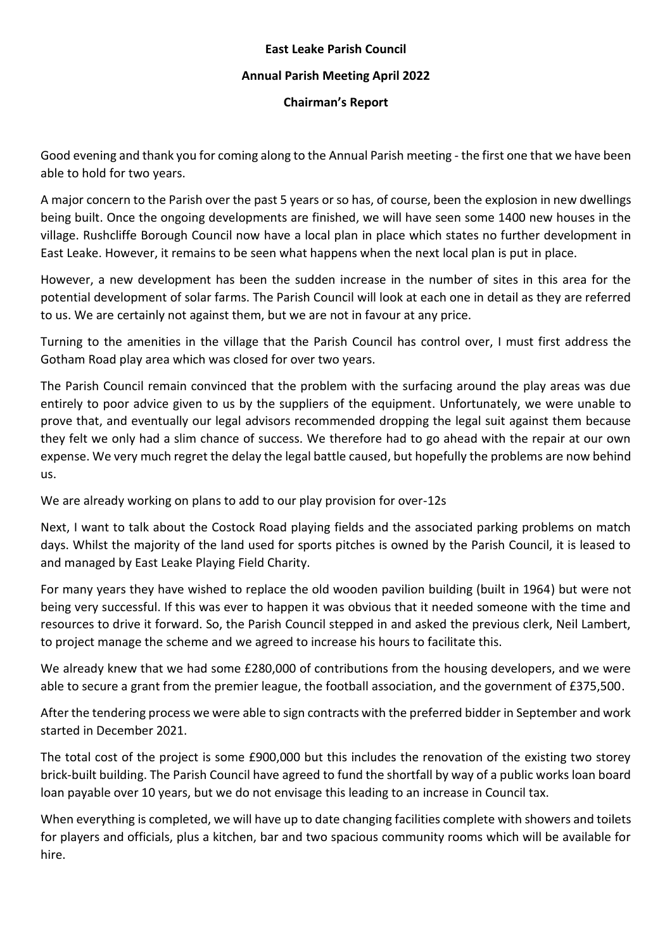## **East Leake Parish Council**

## **Annual Parish Meeting April 2022**

## **Chairman's Report**

Good evening and thank you for coming along to the Annual Parish meeting - the first one that we have been able to hold for two years.

A major concern to the Parish over the past 5 years or so has, of course, been the explosion in new dwellings being built. Once the ongoing developments are finished, we will have seen some 1400 new houses in the village. Rushcliffe Borough Council now have a local plan in place which states no further development in East Leake. However, it remains to be seen what happens when the next local plan is put in place.

However, a new development has been the sudden increase in the number of sites in this area for the potential development of solar farms. The Parish Council will look at each one in detail as they are referred to us. We are certainly not against them, but we are not in favour at any price.

Turning to the amenities in the village that the Parish Council has control over, I must first address the Gotham Road play area which was closed for over two years.

The Parish Council remain convinced that the problem with the surfacing around the play areas was due entirely to poor advice given to us by the suppliers of the equipment. Unfortunately, we were unable to prove that, and eventually our legal advisors recommended dropping the legal suit against them because they felt we only had a slim chance of success. We therefore had to go ahead with the repair at our own expense. We very much regret the delay the legal battle caused, but hopefully the problems are now behind us.

We are already working on plans to add to our play provision for over-12s

Next, I want to talk about the Costock Road playing fields and the associated parking problems on match days. Whilst the majority of the land used for sports pitches is owned by the Parish Council, it is leased to and managed by East Leake Playing Field Charity.

For many years they have wished to replace the old wooden pavilion building (built in 1964) but were not being very successful. If this was ever to happen it was obvious that it needed someone with the time and resources to drive it forward. So, the Parish Council stepped in and asked the previous clerk, Neil Lambert, to project manage the scheme and we agreed to increase his hours to facilitate this.

We already knew that we had some £280,000 of contributions from the housing developers, and we were able to secure a grant from the premier league, the football association, and the government of £375,500.

After the tendering process we were able to sign contracts with the preferred bidder in September and work started in December 2021.

The total cost of the project is some £900,000 but this includes the renovation of the existing two storey brick-built building. The Parish Council have agreed to fund the shortfall by way of a public works loan board loan payable over 10 years, but we do not envisage this leading to an increase in Council tax.

When everything is completed, we will have up to date changing facilities complete with showers and toilets for players and officials, plus a kitchen, bar and two spacious community rooms which will be available for hire.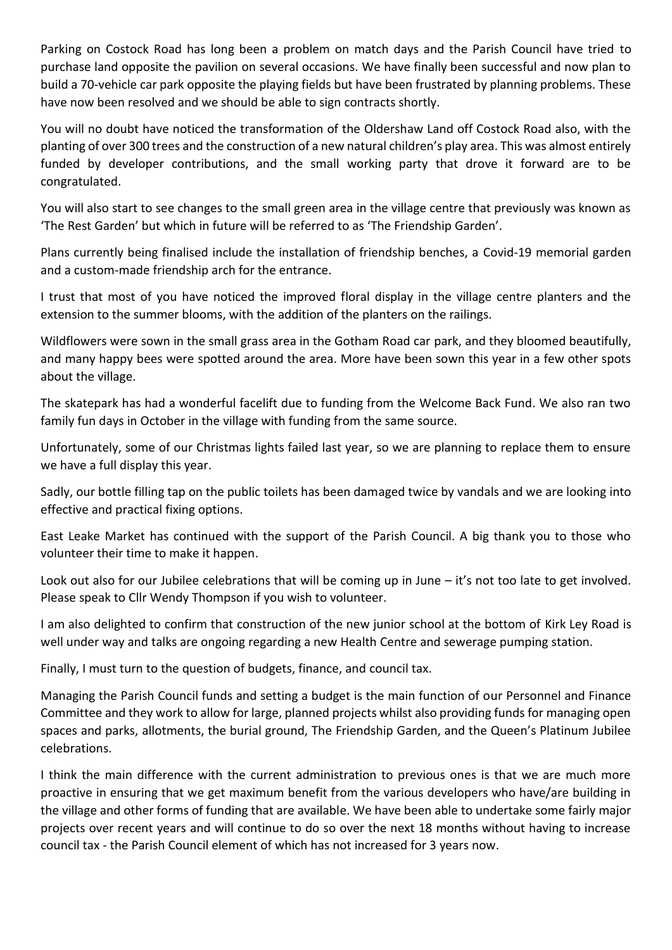Parking on Costock Road has long been a problem on match days and the Parish Council have tried to purchase land opposite the pavilion on several occasions. We have finally been successful and now plan to build a 70-vehicle car park opposite the playing fields but have been frustrated by planning problems. These have now been resolved and we should be able to sign contracts shortly.

You will no doubt have noticed the transformation of the Oldershaw Land off Costock Road also, with the planting of over 300 trees and the construction of a new natural children's play area. This was almost entirely funded by developer contributions, and the small working party that drove it forward are to be congratulated.

You will also start to see changes to the small green area in the village centre that previously was known as 'The Rest Garden' but which in future will be referred to as 'The Friendship Garden'.

Plans currently being finalised include the installation of friendship benches, a Covid-19 memorial garden and a custom-made friendship arch for the entrance.

I trust that most of you have noticed the improved floral display in the village centre planters and the extension to the summer blooms, with the addition of the planters on the railings.

Wildflowers were sown in the small grass area in the Gotham Road car park, and they bloomed beautifully, and many happy bees were spotted around the area. More have been sown this year in a few other spots about the village.

The skatepark has had a wonderful facelift due to funding from the Welcome Back Fund. We also ran two family fun days in October in the village with funding from the same source.

Unfortunately, some of our Christmas lights failed last year, so we are planning to replace them to ensure we have a full display this year.

Sadly, our bottle filling tap on the public toilets has been damaged twice by vandals and we are looking into effective and practical fixing options.

East Leake Market has continued with the support of the Parish Council. A big thank you to those who volunteer their time to make it happen.

Look out also for our Jubilee celebrations that will be coming up in June – it's not too late to get involved. Please speak to Cllr Wendy Thompson if you wish to volunteer.

I am also delighted to confirm that construction of the new junior school at the bottom of Kirk Ley Road is well under way and talks are ongoing regarding a new Health Centre and sewerage pumping station.

Finally, I must turn to the question of budgets, finance, and council tax.

Managing the Parish Council funds and setting a budget is the main function of our Personnel and Finance Committee and they work to allow for large, planned projects whilst also providing funds for managing open spaces and parks, allotments, the burial ground, The Friendship Garden, and the Queen's Platinum Jubilee celebrations.

I think the main difference with the current administration to previous ones is that we are much more proactive in ensuring that we get maximum benefit from the various developers who have/are building in the village and other forms of funding that are available. We have been able to undertake some fairly major projects over recent years and will continue to do so over the next 18 months without having to increase council tax - the Parish Council element of which has not increased for 3 years now.